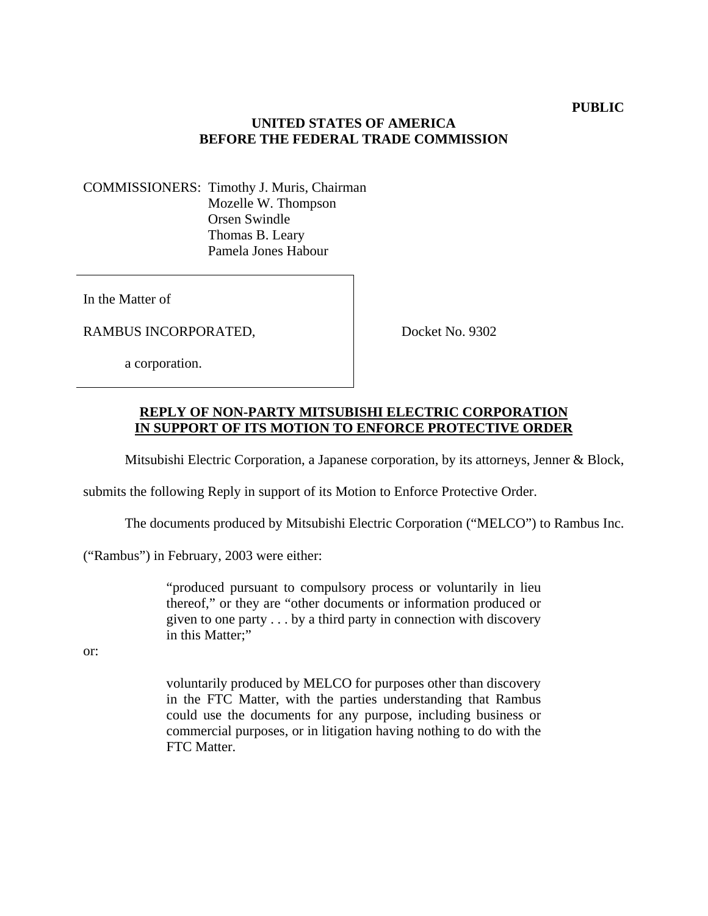## **UNITED STATES OF AMERICA BEFORE THE FEDERAL TRADE COMMISSION**

COMMISSIONERS: Timothy J. Muris, Chairman Mozelle W. Thompson Orsen Swindle Thomas B. Leary Pamela Jones Habour

In the Matter of

RAMBUS INCORPORATED,

Docket No. 9302

a corporation.

## **REPLY OF NON-PARTY MITSUBISHI ELECTRIC CORPORATION IN SUPPORT OF ITS MOTION TO ENFORCE PROTECTIVE ORDER**

Mitsubishi Electric Corporation, a Japanese corporation, by its attorneys, Jenner & Block,

submits the following Reply in support of its Motion to Enforce Protective Order.

The documents produced by Mitsubishi Electric Corporation ("MELCO") to Rambus Inc.

("Rambus") in February, 2003 were either:

"produced pursuant to compulsory process or voluntarily in lieu thereof," or they are "other documents or information produced or given to one party . . . by a third party in connection with discovery in this Matter;"

or:

voluntarily produced by MELCO for purposes other than discovery in the FTC Matter, with the parties understanding that Rambus could use the documents for any purpose, including business or commercial purposes, or in litigation having nothing to do with the FTC Matter.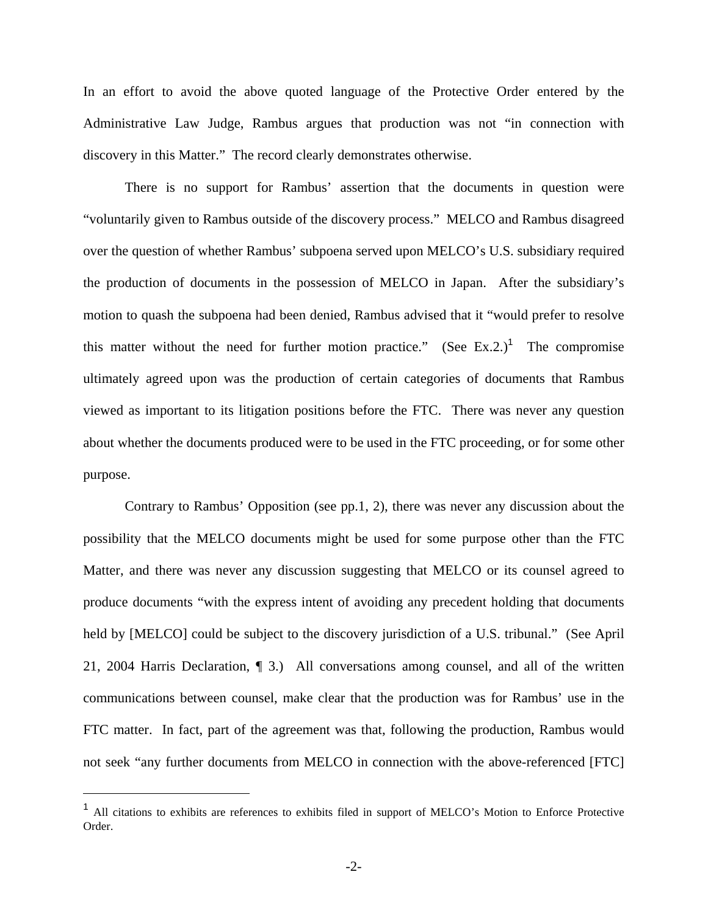In an effort to avoid the above quoted language of the Protective Order entered by the Administrative Law Judge, Rambus argues that production was not "in connection with discovery in this Matter." The record clearly demonstrates otherwise.

There is no support for Rambus' assertion that the documents in question were "voluntarily given to Rambus outside of the discovery process." MELCO and Rambus disagreed over the question of whether Rambus' subpoena served upon MELCO's U.S. subsidiary required the production of documents in the possession of MELCO in Japan. After the subsidiary's motion to quash the subpoena had been denied, Rambus advised that it "would prefer to resolve this matter without the need for further motion practice." (See Ex.2.)<sup>1</sup> The compromise ultimately agreed upon was the production of certain categories of documents that Rambus viewed as important to its litigation positions before the FTC. There was never any question about whether the documents produced were to be used in the FTC proceeding, or for some other purpose.

Contrary to Rambus' Opposition (see pp.1, 2), there was never any discussion about the possibility that the MELCO documents might be used for some purpose other than the FTC Matter, and there was never any discussion suggesting that MELCO or its counsel agreed to produce documents "with the express intent of avoiding any precedent holding that documents held by [MELCO] could be subject to the discovery jurisdiction of a U.S. tribunal." (See April 21, 2004 Harris Declaration, ¶ 3.) All conversations among counsel, and all of the written communications between counsel, make clear that the production was for Rambus' use in the FTC matter. In fact, part of the agreement was that, following the production, Rambus would not seek "any further documents from MELCO in connection with the above-referenced [FTC]

 $\overline{a}$ 

<sup>1</sup> All citations to exhibits are references to exhibits filed in support of MELCO's Motion to Enforce Protective Order.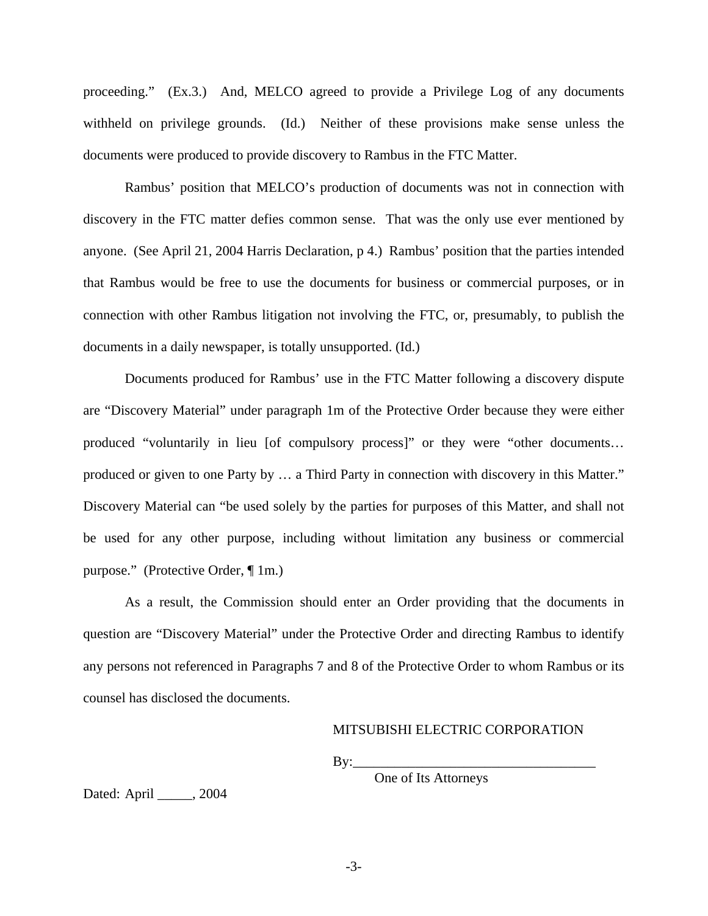proceeding." (Ex.3.) And, MELCO agreed to provide a Privilege Log of any documents withheld on privilege grounds. (Id.) Neither of these provisions make sense unless the documents were produced to provide discovery to Rambus in the FTC Matter.

Rambus' position that MELCO's production of documents was not in connection with discovery in the FTC matter defies common sense. That was the only use ever mentioned by anyone. (See April 21, 2004 Harris Declaration, p 4.) Rambus' position that the parties intended that Rambus would be free to use the documents for business or commercial purposes, or in connection with other Rambus litigation not involving the FTC, or, presumably, to publish the documents in a daily newspaper, is totally unsupported. (Id.)

Documents produced for Rambus' use in the FTC Matter following a discovery dispute are "Discovery Material" under paragraph 1m of the Protective Order because they were either produced "voluntarily in lieu [of compulsory process]" or they were "other documents… produced or given to one Party by … a Third Party in connection with discovery in this Matter." Discovery Material can "be used solely by the parties for purposes of this Matter, and shall not be used for any other purpose, including without limitation any business or commercial purpose." (Protective Order, ¶ 1m.)

As a result, the Commission should enter an Order providing that the documents in question are "Discovery Material" under the Protective Order and directing Rambus to identify any persons not referenced in Paragraphs 7 and 8 of the Protective Order to whom Rambus or its counsel has disclosed the documents.

## MITSUBISHI ELECTRIC CORPORATION

 $By:$ 

One of Its Attorneys

Dated: April \_\_\_\_\_, 2004